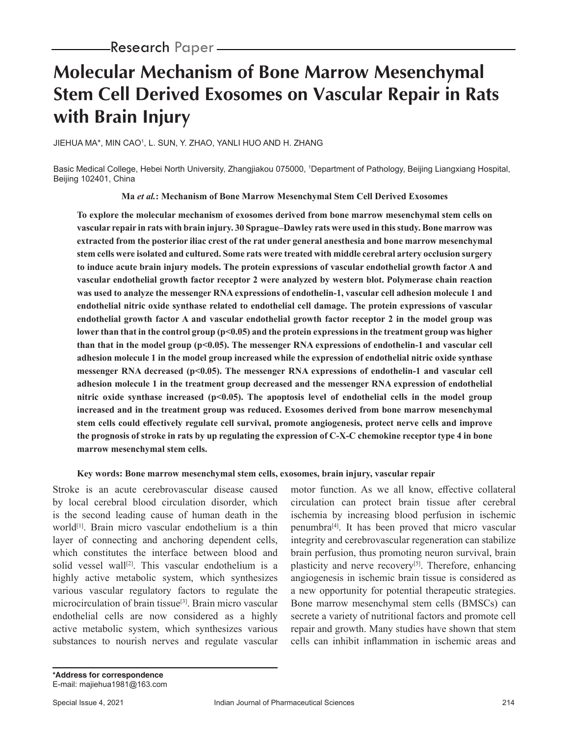# **Molecular Mechanism of Bone Marrow Mesenchymal Stem Cell Derived Exosomes on Vascular Repair in Rats with Brain Injury**

JIEHUA MA\*, MIN CAO1 , L. SUN, Y. ZHAO, YANLI HUO AND H. ZHANG

Basic Medical College, Hebei North University, Zhangjiakou 075000, 1 Department of Pathology, Beijing Liangxiang Hospital, Beijing 102401, China

**Ma** *et al.***: Mechanism of Bone Marrow Mesenchymal Stem Cell Derived Exosomes**

**To explore the molecular mechanism of exosomes derived from bone marrow mesenchymal stem cells on vascular repair in rats with brain injury. 30 Sprague–Dawley rats were used in this study. Bone marrow was extracted from the posterior iliac crest of the rat under general anesthesia and bone marrow mesenchymal stem cells were isolated and cultured. Some rats were treated with middle cerebral artery occlusion surgery to induce acute brain injury models. The protein expressions of vascular endothelial growth factor A and vascular endothelial growth factor receptor 2 were analyzed by western blot. Polymerase chain reaction was used to analyze the messenger RNA expressions of endothelin-1, vascular cell adhesion molecule 1 and endothelial nitric oxide synthase related to endothelial cell damage. The protein expressions of vascular endothelial growth factor A and vascular endothelial growth factor receptor 2 in the model group was lower than that in the control group (p<0.05) and the protein expressions in the treatment group was higher than that in the model group (p<0.05). The messenger RNA expressions of endothelin-1 and vascular cell adhesion molecule 1 in the model group increased while the expression of endothelial nitric oxide synthase**  messenger RNA decreased (p<0.05). The messenger RNA expressions of endothelin-1 and vascular cell **adhesion molecule 1 in the treatment group decreased and the messenger RNA expression of endothelial nitric oxide synthase increased (p<0.05). The apoptosis level of endothelial cells in the model group increased and in the treatment group was reduced. Exosomes derived from bone marrow mesenchymal stem cells could effectively regulate cell survival, promote angiogenesis, protect nerve cells and improve the prognosis of stroke in rats by up regulating the expression of C-X-C chemokine receptor type 4 in bone marrow mesenchymal stem cells.**

#### **Key words: Bone marrow mesenchymal stem cells, exosomes, brain injury, vascular repair**

Stroke is an acute cerebrovascular disease caused by local cerebral blood circulation disorder, which is the second leading cause of human death in the world[1]. Brain micro vascular endothelium is a thin layer of connecting and anchoring dependent cells, which constitutes the interface between blood and solid vessel wall<sup>[2]</sup>. This vascular endothelium is a highly active metabolic system, which synthesizes various vascular regulatory factors to regulate the microcirculation of brain tissue[3]. Brain micro vascular endothelial cells are now considered as a highly active metabolic system, which synthesizes various substances to nourish nerves and regulate vascular

motor function. As we all know, effective collateral circulation can protect brain tissue after cerebral ischemia by increasing blood perfusion in ischemic penumbra[4]. It has been proved that micro vascular integrity and cerebrovascular regeneration can stabilize brain perfusion, thus promoting neuron survival, brain plasticity and nerve recovery<sup>[5]</sup>. Therefore, enhancing angiogenesis in ischemic brain tissue is considered as a new opportunity for potential therapeutic strategies. Bone marrow mesenchymal stem cells (BMSCs) can secrete a variety of nutritional factors and promote cell repair and growth. Many studies have shown that stem cells can inhibit inflammation in ischemic areas and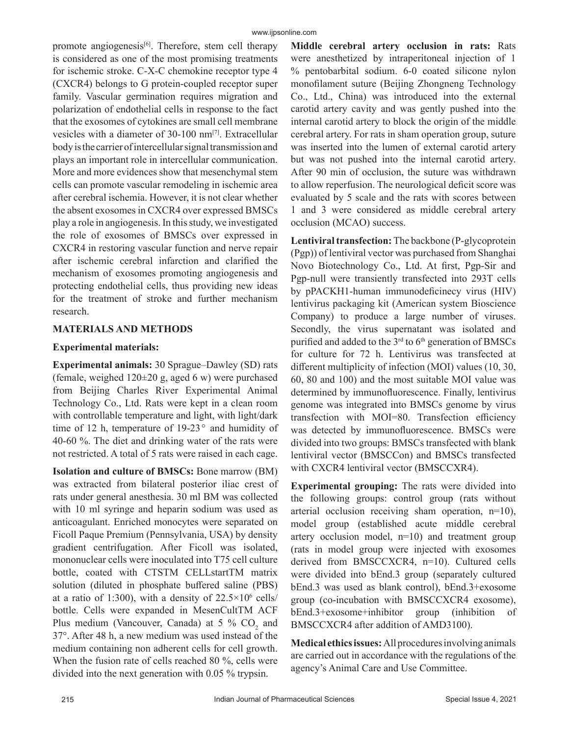promote angiogenesis<sup>[6]</sup>. Therefore, stem cell therapy is considered as one of the most promising treatments for ischemic stroke. C-X-C chemokine receptor type 4 (CXCR4) belongs to G protein-coupled receptor super family. Vascular germination requires migration and polarization of endothelial cells in response to the fact that the exosomes of cytokines are small cell membrane vesicles with a diameter of 30-100 nm<sup>[7]</sup>. Extracellular body is the carrier of intercellular signal transmission and plays an important role in intercellular communication. More and more evidences show that mesenchymal stem cells can promote vascular remodeling in ischemic area after cerebral ischemia. However, it is not clear whether the absent exosomes in CXCR4 over expressed BMSCs play a role in angiogenesis. In this study, we investigated the role of exosomes of BMSCs over expressed in CXCR4 in restoring vascular function and nerve repair after ischemic cerebral infarction and clarified the mechanism of exosomes promoting angiogenesis and protecting endothelial cells, thus providing new ideas for the treatment of stroke and further mechanism research.

# **MATERIALS AND METHODS**

# **Experimental materials:**

**Experimental animals:** 30 Sprague–Dawley (SD) rats (female, weighed 120±20 g, aged 6 w) were purchased from Beijing Charles River Experimental Animal Technology Co., Ltd. Rats were kept in a clean room with controllable temperature and light, with light/dark time of 12 h, temperature of  $19-23$ ° and humidity of 40-60 %. The diet and drinking water of the rats were not restricted. A total of 5 rats were raised in each cage.

**Isolation and culture of BMSCs:** Bone marrow (BM) was extracted from bilateral posterior iliac crest of rats under general anesthesia. 30 ml BM was collected with 10 ml syringe and heparin sodium was used as anticoagulant. Enriched monocytes were separated on Ficoll Paque Premium (Pennsylvania, USA) by density gradient centrifugation. After Ficoll was isolated, mononuclear cells were inoculated into T75 cell culture bottle, coated with CTSTM CELLstartTM matrix solution (diluted in phosphate buffered saline (PBS) at a ratio of 1:300), with a density of  $22.5 \times 10^6$  cells/ bottle. Cells were expanded in MesenCultTM ACF Plus medium (Vancouver, Canada) at 5 %  $CO<sub>2</sub>$  and 37°. After 48 h, a new medium was used instead of the medium containing non adherent cells for cell growth. When the fusion rate of cells reached 80 %, cells were divided into the next generation with 0.05 % trypsin.

**Middle cerebral artery occlusion in rats:** Rats were anesthetized by intraperitoneal injection of 1 % pentobarbital sodium. 6-0 coated silicone nylon monofilament suture (Beijing Zhongneng Technology Co., Ltd., China) was introduced into the external carotid artery cavity and was gently pushed into the internal carotid artery to block the origin of the middle cerebral artery. For rats in sham operation group, suture was inserted into the lumen of external carotid artery but was not pushed into the internal carotid artery. After 90 min of occlusion, the suture was withdrawn to allow reperfusion. The neurological deficit score was evaluated by 5 scale and the rats with scores between 1 and 3 were considered as middle cerebral artery occlusion (MCAO) success.

**Lentiviral transfection:** The backbone (P-glycoprotein (Pgp)) of lentiviral vector was purchased from Shanghai Novo Biotechnology Co., Ltd. At first, Pgp-Sir and Pgp-null were transiently transfected into 293T cells by pPACKH1-human immunodeficinecy virus (HIV) lentivirus packaging kit (American system Bioscience Company) to produce a large number of viruses. Secondly, the virus supernatant was isolated and purified and added to the  $3<sup>rd</sup>$  to  $6<sup>th</sup>$  generation of BMSCs for culture for 72 h. Lentivirus was transfected at different multiplicity of infection (MOI) values (10, 30, 60, 80 and 100) and the most suitable MOI value was determined by immunofluorescence. Finally, lentivirus genome was integrated into BMSCs genome by virus transfection with MOI=80. Transfection efficiency was detected by immunofluorescence. BMSCs were divided into two groups: BMSCs transfected with blank lentiviral vector (BMSCCon) and BMSCs transfected with CXCR4 lentiviral vector (BMSCCXR4).

**Experimental grouping:** The rats were divided into the following groups: control group (rats without arterial occlusion receiving sham operation, n=10), model group (established acute middle cerebral artery occlusion model, n=10) and treatment group (rats in model group were injected with exosomes derived from BMSCCXCR4, n=10). Cultured cells were divided into bEnd.3 group (separately cultured bEnd.3 was used as blank control), bEnd.3+exosome group (co-incubation with BMSCCXCR4 exosome), bEnd.3+exosome+inhibitor group (inhibition of BMSCCXCR4 after addition of AMD3100).

**Medical ethics issues:** All procedures involving animals are carried out in accordance with the regulations of the agency's Animal Care and Use Committee.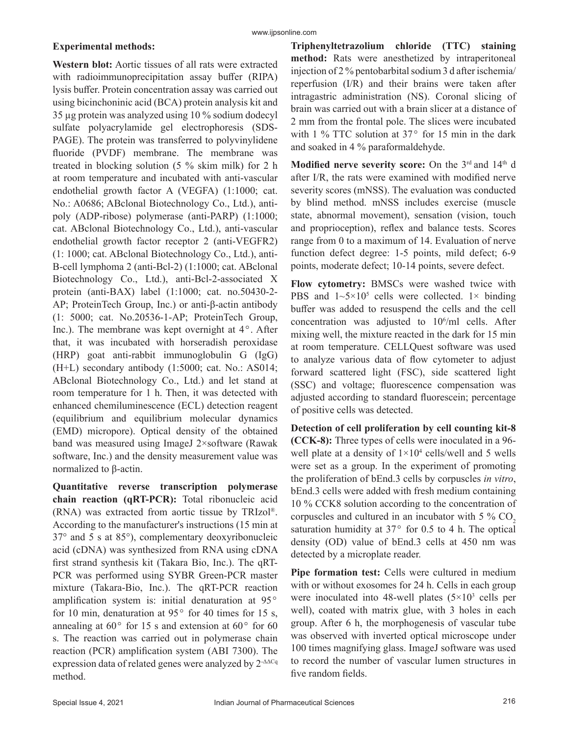# **Experimental methods:**

**Western blot:** Aortic tissues of all rats were extracted with radioimmunoprecipitation assay buffer (RIPA) lysis buffer. Protein concentration assay was carried out using bicinchoninic acid (BCA) protein analysis kit and 35 µg protein was analyzed using 10 % sodium dodecyl sulfate polyacrylamide gel electrophoresis (SDS-PAGE). The protein was transferred to polyvinylidene fluoride (PVDF) membrane. The membrane was treated in blocking solution (5 % skim milk) for 2 h at room temperature and incubated with anti-vascular endothelial growth factor A (VEGFA) (1:1000; cat. No.: A0686; ABclonal Biotechnology Co., Ltd.), antipoly (ADP-ribose) polymerase (anti-PARP) (1:1000; cat. ABclonal Biotechnology Co., Ltd.), anti-vascular endothelial growth factor receptor 2 (anti-VEGFR2) (1: 1000; cat. ABclonal Biotechnology Co., Ltd.), anti-B-cell lymphoma 2 (anti-Bcl-2) (1:1000; cat. ABclonal Biotechnology Co., Ltd.), anti-Bcl-2-associated X protein (anti-BAX) label (1:1000; cat. no.50430-2- AP; ProteinTech Group, Inc.) or anti-β-actin antibody

(1: 5000; cat. No.20536-1-AP; ProteinTech Group, Inc.). The membrane was kept overnight at  $4^\circ$ . After that, it was incubated with horseradish peroxidase (HRP) goat anti-rabbit immunoglobulin G (IgG) (H+L) secondary antibody (1:5000; cat. No.: AS014; ABclonal Biotechnology Co., Ltd.) and let stand at room temperature for 1 h. Then, it was detected with enhanced chemiluminescence (ECL) detection reagent (equilibrium and equilibrium molecular dynamics (EMD) micropore). Optical density of the obtained band was measured using ImageJ 2×software (Rawak software, Inc.) and the density measurement value was normalized to β-actin.

**Quantitative reverse transcription polymerase chain reaction (qRT-PCR):** Total ribonucleic acid (RNA) was extracted from aortic tissue by TRIzol®. According to the manufacturer's instructions (15 min at 37° and 5 s at 85°), complementary deoxyribonucleic acid (cDNA) was synthesized from RNA using cDNA first strand synthesis kit (Takara Bio, Inc.). The qRT-PCR was performed using SYBR Green-PCR master mixture (Takara-Bio, Inc.). The qRT-PCR reaction amplification system is: initial denaturation at 95° for 10 min, denaturation at 95 $\degree$  for 40 times for 15 s, annealing at  $60^{\circ}$  for 15 s and extension at  $60^{\circ}$  for  $60$ s. The reaction was carried out in polymerase chain reaction (PCR) amplification system (ABI 7300). The expression data of related genes were analyzed by 2<sup>-ΔΔCq</sup> method.

**Triphenyltetrazolium chloride (TTC) staining method:** Rats were anesthetized by intraperitoneal injection of 2 % pentobarbital sodium 3 d after ischemia/ reperfusion (I/R) and their brains were taken after intragastric administration (NS). Coronal slicing of brain was carried out with a brain slicer at a distance of 2 mm from the frontal pole. The slices were incubated with 1 % TTC solution at  $37^{\circ}$  for 15 min in the dark and soaked in 4 % paraformaldehyde.

Modified nerve severity score: On the 3<sup>rd</sup> and 14<sup>th</sup> d after I/R, the rats were examined with modified nerve severity scores (mNSS). The evaluation was conducted by blind method. mNSS includes exercise (muscle state, abnormal movement), sensation (vision, touch and proprioception), reflex and balance tests. Scores range from 0 to a maximum of 14. Evaluation of nerve function defect degree: 1-5 points, mild defect; 6-9 points, moderate defect; 10-14 points, severe defect.

**Flow cytometry:** BMSCs were washed twice with PBS and  $1 \sim 5 \times 10^5$  cells were collected. 1× binding buffer was added to resuspend the cells and the cell concentration was adjusted to  $10^6$ /ml cells. After mixing well, the mixture reacted in the dark for 15 min at room temperature. CELLQuest software was used to analyze various data of flow cytometer to adjust forward scattered light (FSC), side scattered light (SSC) and voltage; fluorescence compensation was adjusted according to standard fluorescein; percentage of positive cells was detected.

**Detection of cell proliferation by cell counting kit-8 (CCK-8):** Three types of cells were inoculated in a 96 well plate at a density of  $1 \times 10^4$  cells/well and 5 wells were set as a group. In the experiment of promoting the proliferation of bEnd.3 cells by corpuscles *in vitro*, bEnd.3 cells were added with fresh medium containing 10 % CCK8 solution according to the concentration of corpuscles and cultured in an incubator with  $5\%$  CO<sub>2</sub> saturation humidity at  $37^{\circ}$  for 0.5 to 4 h. The optical density (OD) value of bEnd.3 cells at 450 nm was detected by a microplate reader.

**Pipe formation test:** Cells were cultured in medium with or without exosomes for 24 h. Cells in each group were inoculated into 48-well plates  $(5\times10^{3} \text{ cells per})$ well), coated with matrix glue, with 3 holes in each group. After 6 h, the morphogenesis of vascular tube was observed with inverted optical microscope under 100 times magnifying glass. ImageJ software was used to record the number of vascular lumen structures in five random fields.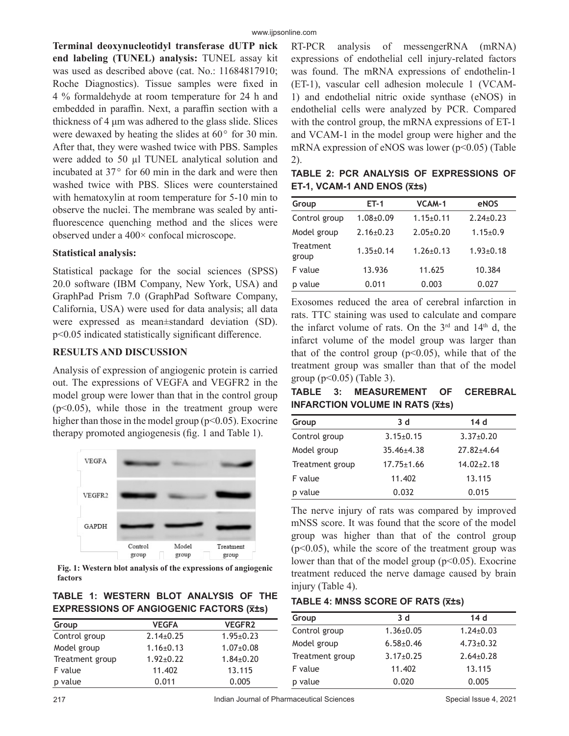**Terminal deoxynucleotidyl transferase dUTP nick end labeling (TUNEL) analysis:** TUNEL assay kit was used as described above (cat. No.: 11684817910; Roche Diagnostics). Tissue samples were fixed in 4 % formaldehyde at room temperature for 24 h and embedded in paraffin. Next, a paraffin section with a thickness of 4 μm was adhered to the glass slide. Slices were dewaxed by heating the slides at  $60^{\circ}$  for 30 min. After that, they were washed twice with PBS. Samples were added to 50 µl TUNEL analytical solution and incubated at  $37^{\circ}$  for 60 min in the dark and were then washed twice with PBS. Slices were counterstained with hematoxylin at room temperature for 5-10 min to observe the nuclei. The membrane was sealed by antifluorescence quenching method and the slices were observed under a 400× confocal microscope.

#### **Statistical analysis:**

Statistical package for the social sciences (SPSS) 20.0 software (IBM Company, New York, USA) and GraphPad Prism 7.0 (GraphPad Software Company, California, USA) were used for data analysis; all data were expressed as mean±standard deviation (SD). p<0.05 indicated statistically significant difference.

## **RESULTS AND DISCUSSION**

Analysis of expression of angiogenic protein is carried out. The expressions of VEGFA and VEGFR2 in the model group were lower than that in the control group  $(p<0.05)$ , while those in the treatment group were higher than those in the model group ( $p<0.05$ ). Exocrine therapy promoted angiogenesis (fig. 1 and Table 1).



**Fig. 1: Western blot analysis of the expressions of angiogenic factors**

|  |  | TABLE 1: WESTERN BLOT ANALYSIS OF THE          |  |
|--|--|------------------------------------------------|--|
|  |  | <b>EXPRESSIONS OF ANGIOGENIC FACTORS (X±s)</b> |  |

| Group           | <b>VEGFA</b>    | <b>VEGFR2</b>   |
|-----------------|-----------------|-----------------|
| Control group   | $2.14 \pm 0.25$ | $1.95 \pm 0.23$ |
| Model group     | $1.16 \pm 0.13$ | $1.07+0.08$     |
| Treatment group | $1.92 + 0.22$   | $1.84 \pm 0.20$ |
| F value         | 11.402          | 13.115          |
| p value         | 0.011           | 0.005           |

RT-PCR analysis of messengerRNA (mRNA) expressions of endothelial cell injury-related factors was found. The mRNA expressions of endothelin-1 (ET-1), vascular cell adhesion molecule 1 (VCAM-1) and endothelial nitric oxide synthase (eNOS) in endothelial cells were analyzed by PCR. Compared with the control group, the mRNA expressions of ET-1 and VCAM-1 in the model group were higher and the mRNA expression of eNOS was lower  $(p<0.05)$  (Table 2).

**TABLE 2: PCR ANALYSIS OF EXPRESSIONS OF ET-1, VCAM-1 AND ENOS (x̅±s)**

| Group              | $ET-1$          | VCAM-1          | eNOS            |
|--------------------|-----------------|-----------------|-----------------|
| Control group      | $1.08 + 0.09$   | $1.15 \pm 0.11$ | $2.24 \pm 0.23$ |
| Model group        | $2.16 \pm 0.23$ | $2.05 \pm 0.20$ | $1.15 \pm 0.9$  |
| Treatment<br>group | $1.35 \pm 0.14$ | $1.26 \pm 0.13$ | $1.93 \pm 0.18$ |
| F value            | 13.936          | 11.625          | 10.384          |
| p value            | 0.011           | 0.003           | 0.027           |

Exosomes reduced the area of cerebral infarction in rats. TTC staining was used to calculate and compare the infarct volume of rats. On the  $3<sup>rd</sup>$  and  $14<sup>th</sup>$  d, the infarct volume of the model group was larger than that of the control group ( $p<0.05$ ), while that of the treatment group was smaller than that of the model group ( $p<0.05$ ) (Table 3).

**TABLE 3: MEASUREMENT OF CEREBRAL INFARCTION VOLUME IN RATS (x̅±s)**

| Group           | 3d               | 14d              |
|-----------------|------------------|------------------|
| Control group   | $3.15 \pm 0.15$  | $3.37 \pm 0.20$  |
| Model group     | $35.46 \pm 4.38$ | $27.82 + 4.64$   |
| Treatment group | $17.75 \pm 1.66$ | $14.02 \pm 2.18$ |
| F value         | 11.402           | 13.115           |
| p value         | 0.032            | 0.015            |

The nerve injury of rats was compared by improved mNSS score. It was found that the score of the model group was higher than that of the control group  $(p<0.05)$ , while the score of the treatment group was lower than that of the model group  $(p<0.05)$ . Exocrine treatment reduced the nerve damage caused by brain injury (Table 4).

**TABLE 4: MNSS SCORE OF RATS (x̅±s)**

| Group           | 3d              | 14d             |
|-----------------|-----------------|-----------------|
| Control group   | $1.36 \pm 0.05$ | $1.24 \pm 0.03$ |
| Model group     | $6.58 \pm 0.46$ | $4.73 \pm 0.32$ |
| Treatment group | $3.17 \pm 0.25$ | $2.64 \pm 0.28$ |
| F value         | 11.402          | 13.115          |
| p value         | 0.020           | 0.005           |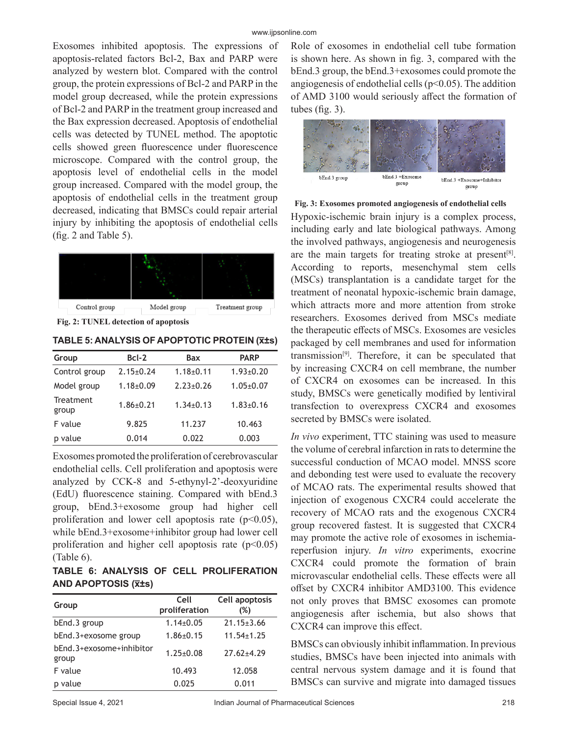Exosomes inhibited apoptosis. The expressions of apoptosis-related factors Bcl-2, Bax and PARP were analyzed by western blot. Compared with the control group, the protein expressions of Bcl-2 and PARP in the model group decreased, while the protein expressions of Bcl-2 and PARP in the treatment group increased and the Bax expression decreased. Apoptosis of endothelial cells was detected by TUNEL method. The apoptotic cells showed green fluorescence under fluorescence microscope. Compared with the control group, the apoptosis level of endothelial cells in the model group increased. Compared with the model group, the apoptosis of endothelial cells in the treatment group decreased, indicating that BMSCs could repair arterial injury by inhibiting the apoptosis of endothelial cells (fig. 2 and Table 5).



**Fig. 2: TUNEL detection of apoptosis**

**TABLE 5: ANALYSIS OF APOPTOTIC PROTEIN (x̅±s)**

| Group              | $Bcl-2$         | Bax             | <b>PARP</b>     |
|--------------------|-----------------|-----------------|-----------------|
| Control group      | $2.15 \pm 0.24$ | $1.18 + 0.11$   | $1.93 \pm 0.20$ |
| Model group        | $1.18 \pm 0.09$ | $2.23 \pm 0.26$ | $1.05 \pm 0.07$ |
| Treatment<br>group | $1.86 + 0.21$   | $1.34\pm0.13$   | $1.83 \pm 0.16$ |
| F value            | 9.825           | 11.237          | 10.463          |
| p value            | 0.014           | 0.022           | 0.003           |

Exosomes promoted the proliferation of cerebrovascular endothelial cells. Cell proliferation and apoptosis were analyzed by CCK-8 and 5-ethynyl-2'-deoxyuridine (EdU) fluorescence staining. Compared with bEnd.3 group, bEnd.3+exosome group had higher cell proliferation and lower cell apoptosis rate  $(p<0.05)$ , while bEnd.3+exosome+inhibitor group had lower cell proliferation and higher cell apoptosis rate  $(p<0.05)$ (Table 6).

**TABLE 6: ANALYSIS OF CELL PROLIFERATION AND APOPTOSIS (x̅±s)**

| Group                             | Cell<br>proliferation | Cell apoptosis<br>(%) |
|-----------------------------------|-----------------------|-----------------------|
| bEnd.3 group                      | $1.14\pm0.05$         | $21.15 \pm 3.66$      |
| bEnd.3+exosome group              | $1.86 \pm 0.15$       | $11.54 \pm 1.25$      |
| bEnd.3+exosome+inhibitor<br>group | $1.25 \pm 0.08$       | $27.62 + 4.29$        |
| F value                           | 10.493                | 12.058                |
| value<br>D                        | 0.025                 | 0.011                 |

Role of exosomes in endothelial cell tube formation is shown here. As shown in fig. 3, compared with the bEnd.3 group, the bEnd.3+exosomes could promote the angiogenesis of endothelial cells ( $p<0.05$ ). The addition of AMD 3100 would seriously affect the formation of tubes (fig. 3).



Hypoxic-ischemic brain injury is a complex process, including early and late biological pathways. Among the involved pathways, angiogenesis and neurogenesis are the main targets for treating stroke at present<sup>[8]</sup>. According to reports, mesenchymal stem cells (MSCs) transplantation is a candidate target for the treatment of neonatal hypoxic-ischemic brain damage, which attracts more and more attention from stroke researchers. Exosomes derived from MSCs mediate the therapeutic effects of MSCs. Exosomes are vesicles packaged by cell membranes and used for information transmission<sup>[9]</sup>. Therefore, it can be speculated that by increasing CXCR4 on cell membrane, the number of CXCR4 on exosomes can be increased. In this study, BMSCs were genetically modified by lentiviral transfection to overexpress CXCR4 and exosomes secreted by BMSCs were isolated. **Fig. 3: Exosomes promoted angiogenesis of endothelial cells**

*In vivo* experiment, TTC staining was used to measure the volume of cerebral infarction in rats to determine the successful conduction of MCAO model. MNSS score and debonding test were used to evaluate the recovery of MCAO rats. The experimental results showed that injection of exogenous CXCR4 could accelerate the recovery of MCAO rats and the exogenous CXCR4 group recovered fastest. It is suggested that CXCR4 may promote the active role of exosomes in ischemiareperfusion injury. *In vitro* experiments, exocrine CXCR4 could promote the formation of brain microvascular endothelial cells. These effects were all offset by CXCR4 inhibitor AMD3100. This evidence not only proves that BMSC exosomes can promote angiogenesis after ischemia, but also shows that CXCR4 can improve this effect.

BMSCs can obviously inhibit inflammation. In previous studies, BMSCs have been injected into animals with central nervous system damage and it is found that BMSCs can survive and migrate into damaged tissues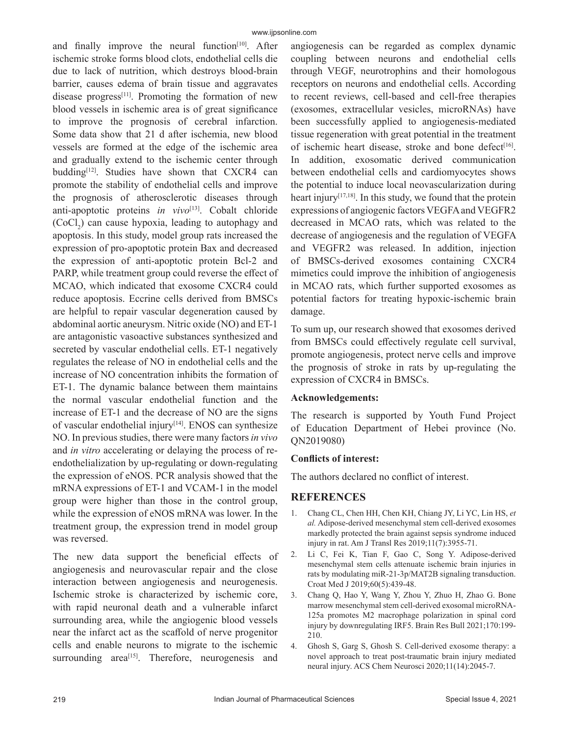and finally improve the neural function<sup>[10]</sup>. After ischemic stroke forms blood clots, endothelial cells die due to lack of nutrition, which destroys blood-brain barrier, causes edema of brain tissue and aggravates disease progress<sup>[11]</sup>. Promoting the formation of new blood vessels in ischemic area is of great significance to improve the prognosis of cerebral infarction. Some data show that 21 d after ischemia, new blood vessels are formed at the edge of the ischemic area and gradually extend to the ischemic center through budding<sup>[12]</sup>. Studies have shown that CXCR4 can promote the stability of endothelial cells and improve the prognosis of atherosclerotic diseases through anti-apoptotic proteins *in vivo*<sup>[13]</sup>. Cobalt chloride  $(CoCl<sub>2</sub>)$  can cause hypoxia, leading to autophagy and apoptosis. In this study, model group rats increased the expression of pro-apoptotic protein Bax and decreased the expression of anti-apoptotic protein Bcl-2 and PARP, while treatment group could reverse the effect of MCAO, which indicated that exosome CXCR4 could reduce apoptosis. Eccrine cells derived from BMSCs are helpful to repair vascular degeneration caused by abdominal aortic aneurysm. Nitric oxide (NO) and ET-1 are antagonistic vasoactive substances synthesized and secreted by vascular endothelial cells. ET-1 negatively regulates the release of NO in endothelial cells and the increase of NO concentration inhibits the formation of ET-1. The dynamic balance between them maintains the normal vascular endothelial function and the increase of ET-1 and the decrease of NO are the signs of vascular endothelial injury<sup>[14]</sup>. ENOS can synthesize NO. In previous studies, there were many factors *in vivo* and *in vitro* accelerating or delaying the process of reendothelialization by up-regulating or down-regulating the expression of eNOS. PCR analysis showed that the mRNA expressions of ET-1 and VCAM-1 in the model group were higher than those in the control group, while the expression of eNOS mRNA was lower. In the treatment group, the expression trend in model group was reversed.

The new data support the beneficial effects of angiogenesis and neurovascular repair and the close interaction between angiogenesis and neurogenesis. Ischemic stroke is characterized by ischemic core, with rapid neuronal death and a vulnerable infarct surrounding area, while the angiogenic blood vessels near the infarct act as the scaffold of nerve progenitor cells and enable neurons to migrate to the ischemic surrounding area $[15]$ . Therefore, neurogenesis and angiogenesis can be regarded as complex dynamic coupling between neurons and endothelial cells through VEGF, neurotrophins and their homologous receptors on neurons and endothelial cells. According to recent reviews, cell-based and cell-free therapies (exosomes, extracellular vesicles, microRNAs) have been successfully applied to angiogenesis-mediated tissue regeneration with great potential in the treatment of ischemic heart disease, stroke and bone defect<sup>[16]</sup>. In addition, exosomatic derived communication between endothelial cells and cardiomyocytes shows the potential to induce local neovascularization during heart injury $[17,18]$ . In this study, we found that the protein expressions of angiogenic factors VEGFA and VEGFR2 decreased in MCAO rats, which was related to the decrease of angiogenesis and the regulation of VEGFA and VEGFR2 was released. In addition, injection of BMSCs-derived exosomes containing CXCR4 mimetics could improve the inhibition of angiogenesis in MCAO rats, which further supported exosomes as potential factors for treating hypoxic-ischemic brain damage.

To sum up, our research showed that exosomes derived from BMSCs could effectively regulate cell survival, promote angiogenesis, protect nerve cells and improve the prognosis of stroke in rats by up-regulating the expression of CXCR4 in BMSCs.

# **Acknowledgements:**

The research is supported by Youth Fund Project of Education Department of Hebei province (No. QN2019080)

# **Conflicts of interest:**

The authors declared no conflict of interest.

# **REFERENCES**

- 1. Chang CL, Chen HH, Chen KH, Chiang JY, Li YC, Lin HS, *et al.* Adipose-derived mesenchymal stem cell-derived exosomes markedly protected the brain against sepsis syndrome induced injury in rat. Am J Transl Res 2019;11(7):3955-71.
- 2. Li C, Fei K, Tian F, Gao C, Song Y. Adipose-derived mesenchymal stem cells attenuate ischemic brain injuries in rats by modulating miR-21-3p/MAT2B signaling transduction. Croat Med J 2019;60(5):439-48.
- 3. Chang Q, Hao Y, Wang Y, Zhou Y, Zhuo H, Zhao G. Bone marrow mesenchymal stem cell-derived exosomal microRNA-125a promotes M2 macrophage polarization in spinal cord injury by downregulating IRF5. Brain Res Bull 2021;170:199- 210.
- 4. Ghosh S, Garg S, Ghosh S. Cell-derived exosome therapy: a novel approach to treat post-traumatic brain injury mediated neural injury. ACS Chem Neurosci 2020;11(14):2045-7.